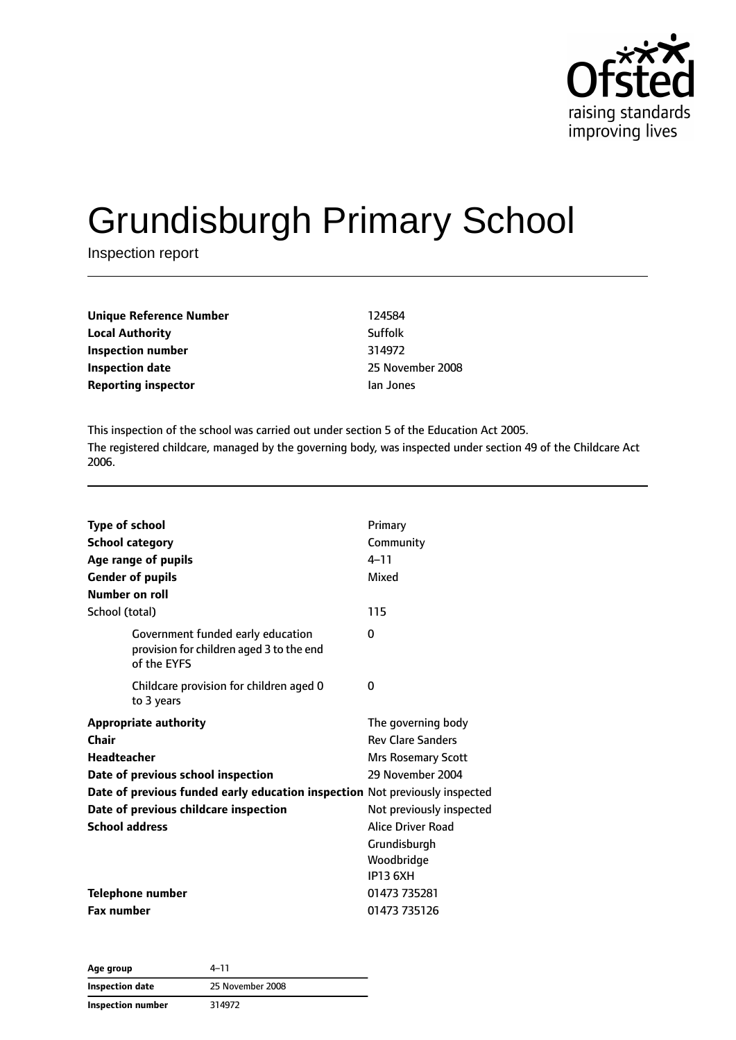

# Grundisburgh Primary School

Inspection report

| Unique Reference Number    | 124584  |
|----------------------------|---------|
| <b>Local Authority</b>     | Suffolk |
| Inspection number          | 314972  |
| Inspection date            | 25 Nove |
| <b>Reporting inspector</b> | lan Jon |

**Inspection date** 25 November 2008 **Reporting** Jones

This inspection of the school was carried out under section 5 of the Education Act 2005. The registered childcare, managed by the governing body, was inspected under section 49 of the Childcare Act 2006.

| <b>Type of school</b>                                                                        | Primary                   |
|----------------------------------------------------------------------------------------------|---------------------------|
| <b>School category</b>                                                                       | Community                 |
| Age range of pupils                                                                          | $4 - 11$                  |
| <b>Gender of pupils</b>                                                                      | Mixed                     |
| Number on roll                                                                               |                           |
| School (total)                                                                               | 115                       |
| Government funded early education<br>provision for children aged 3 to the end<br>of the EYFS | 0                         |
| Childcare provision for children aged 0<br>to 3 years                                        | 0                         |
| <b>Appropriate authority</b>                                                                 | The governing body        |
| Chair                                                                                        | <b>Rev Clare Sanders</b>  |
| Headteacher                                                                                  | <b>Mrs Rosemary Scott</b> |
| Date of previous school inspection                                                           | 29 November 2004          |
| Date of previous funded early education inspection Not previously inspected                  |                           |
| Date of previous childcare inspection                                                        | Not previously inspected  |
| <b>School address</b>                                                                        | <b>Alice Driver Road</b>  |
|                                                                                              | Grundisburgh              |
|                                                                                              | Woodbridge                |
|                                                                                              | <b>IP13 6XH</b>           |
| <b>Telephone number</b>                                                                      | 01473 735281              |
| <b>Fax number</b>                                                                            | 01473 735126              |

| Age group         | 4-11             |
|-------------------|------------------|
| Inspection date   | 25 November 2008 |
| Inspection number | 314972           |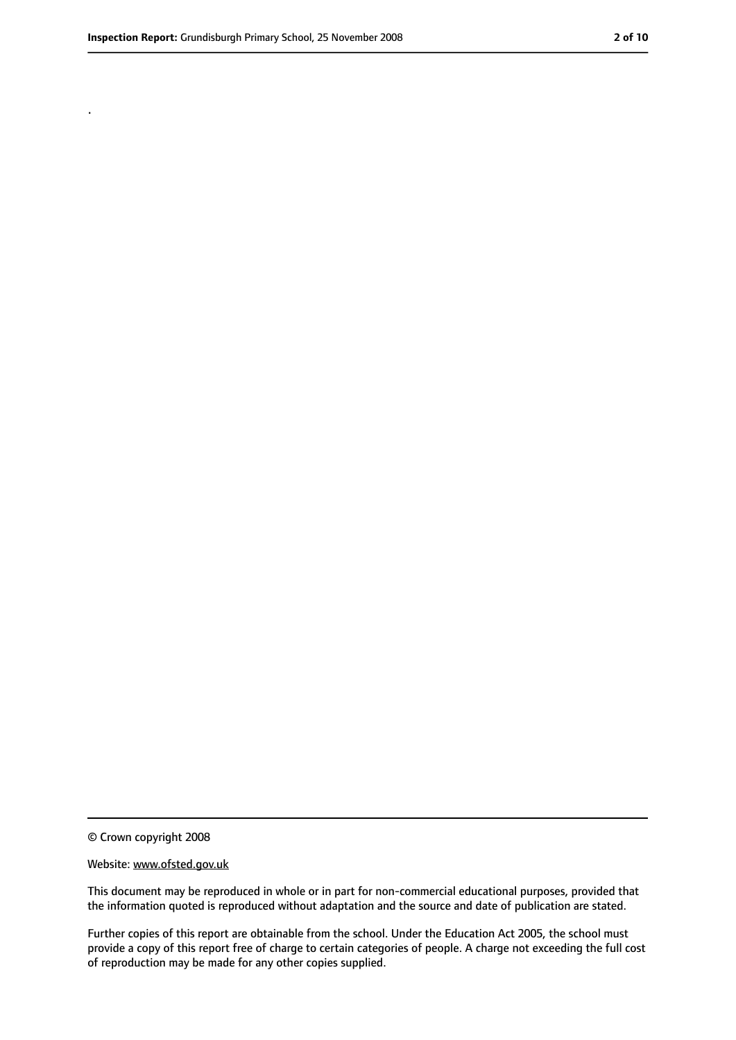.

<sup>©</sup> Crown copyright 2008

Website: www.ofsted.gov.uk

This document may be reproduced in whole or in part for non-commercial educational purposes, provided that the information quoted is reproduced without adaptation and the source and date of publication are stated.

Further copies of this report are obtainable from the school. Under the Education Act 2005, the school must provide a copy of this report free of charge to certain categories of people. A charge not exceeding the full cost of reproduction may be made for any other copies supplied.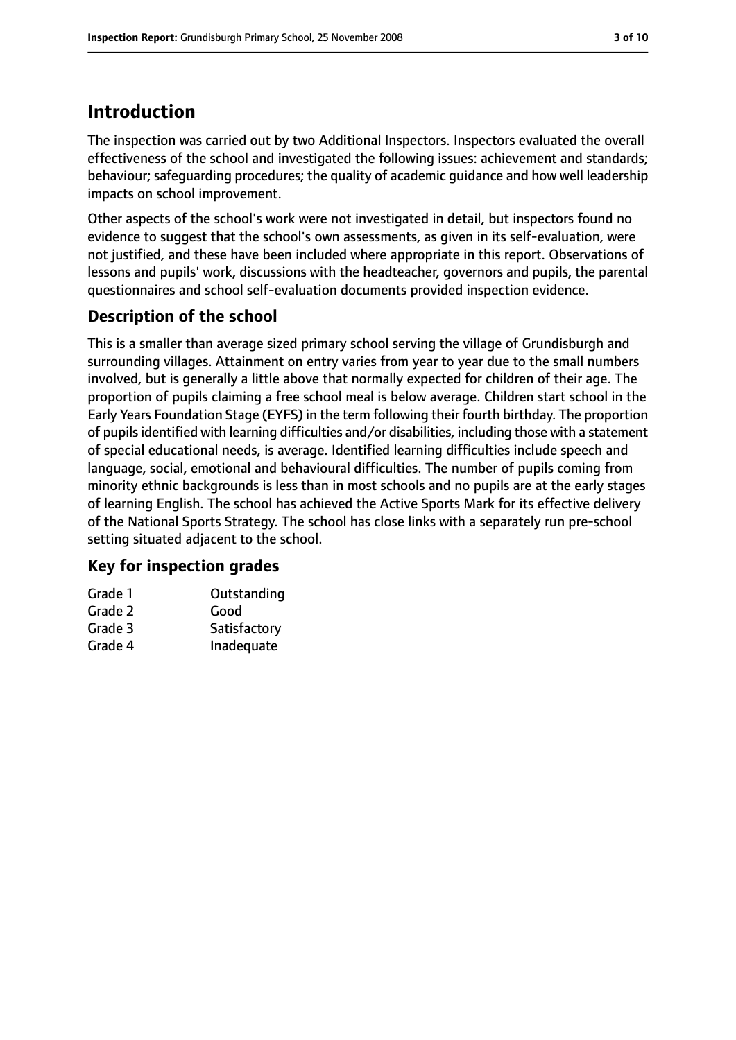# **Introduction**

The inspection was carried out by two Additional Inspectors. Inspectors evaluated the overall effectiveness of the school and investigated the following issues: achievement and standards; behaviour; safeguarding procedures; the quality of academic guidance and how well leadership impacts on school improvement.

Other aspects of the school's work were not investigated in detail, but inspectors found no evidence to suggest that the school's own assessments, as given in its self-evaluation, were not justified, and these have been included where appropriate in this report. Observations of lessons and pupils' work, discussions with the headteacher, governors and pupils, the parental questionnaires and school self-evaluation documents provided inspection evidence.

# **Description of the school**

This is a smaller than average sized primary school serving the village of Grundisburgh and surrounding villages. Attainment on entry varies from year to year due to the small numbers involved, but is generally a little above that normally expected for children of their age. The proportion of pupils claiming a free school meal is below average. Children start school in the Early Years Foundation Stage (EYFS) in the term following their fourth birthday. The proportion of pupils identified with learning difficulties and/or disabilities, including those with a statement of special educational needs, is average. Identified learning difficulties include speech and language, social, emotional and behavioural difficulties. The number of pupils coming from minority ethnic backgrounds is less than in most schools and no pupils are at the early stages of learning English. The school has achieved the Active Sports Mark for its effective delivery of the National Sports Strategy. The school has close links with a separately run pre-school setting situated adjacent to the school.

## **Key for inspection grades**

| Grade 1 | Outstanding  |
|---------|--------------|
| Grade 2 | Good         |
| Grade 3 | Satisfactory |
| Grade 4 | Inadequate   |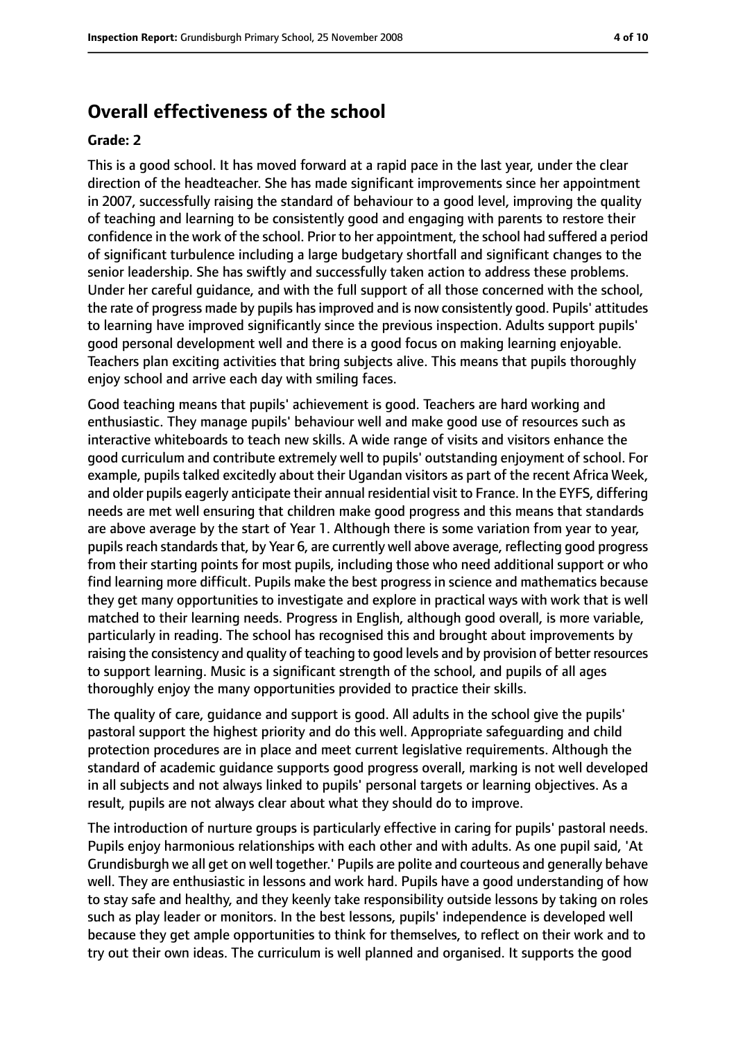# **Overall effectiveness of the school**

#### **Grade: 2**

This is a good school. It has moved forward at a rapid pace in the last year, under the clear direction of the headteacher. She has made significant improvements since her appointment in 2007, successfully raising the standard of behaviour to a good level, improving the quality of teaching and learning to be consistently good and engaging with parents to restore their confidence in the work of the school. Prior to her appointment, the school had suffered a period of significant turbulence including a large budgetary shortfall and significant changes to the senior leadership. She has swiftly and successfully taken action to address these problems. Under her careful guidance, and with the full support of all those concerned with the school, the rate of progress made by pupils hasimproved and is now consistently good. Pupils' attitudes to learning have improved significantly since the previous inspection. Adults support pupils' good personal development well and there is a good focus on making learning enjoyable. Teachers plan exciting activities that bring subjects alive. This means that pupils thoroughly enjoy school and arrive each day with smiling faces.

Good teaching means that pupils' achievement is good. Teachers are hard working and enthusiastic. They manage pupils' behaviour well and make good use of resources such as interactive whiteboards to teach new skills. A wide range of visits and visitors enhance the good curriculum and contribute extremely well to pupils' outstanding enjoyment of school. For example, pupils talked excitedly about their Ugandan visitors as part of the recent Africa Week, and older pupils eagerly anticipate their annual residential visit to France. In the EYFS, differing needs are met well ensuring that children make good progress and this means that standards are above average by the start of Year 1. Although there is some variation from year to year, pupils reach standards that, by Year 6, are currently well above average, reflecting good progress from their starting points for most pupils, including those who need additional support or who find learning more difficult. Pupils make the best progress in science and mathematics because they get many opportunities to investigate and explore in practical ways with work that is well matched to their learning needs. Progress in English, although good overall, is more variable, particularly in reading. The school has recognised this and brought about improvements by raising the consistency and quality of teaching to good levels and by provision of better resources to support learning. Music is a significant strength of the school, and pupils of all ages thoroughly enjoy the many opportunities provided to practice their skills.

The quality of care, guidance and support is good. All adults in the school give the pupils' pastoral support the highest priority and do this well. Appropriate safeguarding and child protection procedures are in place and meet current legislative requirements. Although the standard of academic guidance supports good progress overall, marking is not well developed in all subjects and not always linked to pupils' personal targets or learning objectives. As a result, pupils are not always clear about what they should do to improve.

The introduction of nurture groups is particularly effective in caring for pupils' pastoral needs. Pupils enjoy harmonious relationships with each other and with adults. As one pupil said, 'At Grundisburgh we all get on well together.' Pupils are polite and courteous and generally behave well. They are enthusiastic in lessons and work hard. Pupils have a good understanding of how to stay safe and healthy, and they keenly take responsibility outside lessons by taking on roles such as play leader or monitors. In the best lessons, pupils' independence is developed well because they get ample opportunities to think for themselves, to reflect on their work and to try out their own ideas. The curriculum is well planned and organised. It supports the good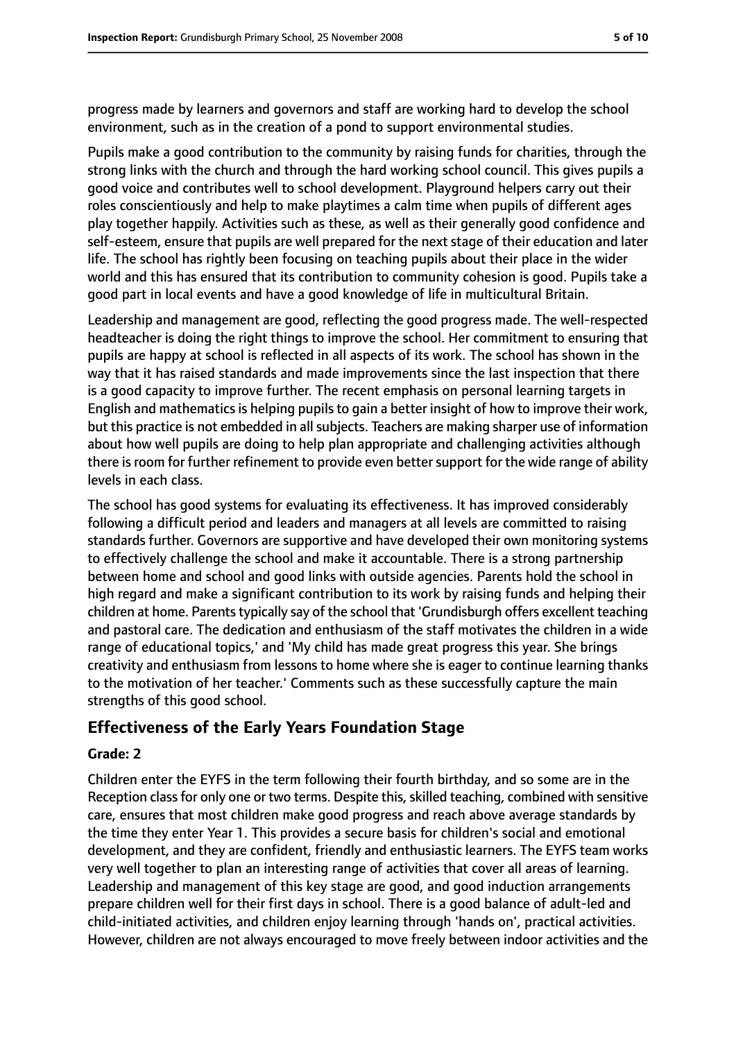progress made by learners and governors and staff are working hard to develop the school environment, such as in the creation of a pond to support environmental studies.

Pupils make a good contribution to the community by raising funds for charities, through the strong links with the church and through the hard working school council. This gives pupils a good voice and contributes well to school development. Playground helpers carry out their roles conscientiously and help to make playtimes a calm time when pupils of different ages play together happily. Activities such as these, as well as their generally good confidence and self-esteem, ensure that pupils are well prepared for the next stage of their education and later life. The school has rightly been focusing on teaching pupils about their place in the wider world and this has ensured that its contribution to community cohesion is good. Pupils take a good part in local events and have a good knowledge of life in multicultural Britain.

Leadership and management are good, reflecting the good progress made. The well-respected headteacher is doing the right things to improve the school. Her commitment to ensuring that pupils are happy at school is reflected in all aspects of its work. The school has shown in the way that it has raised standards and made improvements since the last inspection that there is a good capacity to improve further. The recent emphasis on personal learning targets in English and mathematics is helping pupils to gain a better insight of how to improve their work, but this practice is not embedded in all subjects. Teachers are making sharper use of information about how well pupils are doing to help plan appropriate and challenging activities although there is room for further refinement to provide even better support for the wide range of ability levels in each class.

The school has good systems for evaluating its effectiveness. It has improved considerably following a difficult period and leaders and managers at all levels are committed to raising standards further. Governors are supportive and have developed their own monitoring systems to effectively challenge the school and make it accountable. There is a strong partnership between home and school and good links with outside agencies. Parents hold the school in high regard and make a significant contribution to its work by raising funds and helping their children at home. Parents typically say of the school that 'Grundisburgh offers excellent teaching and pastoral care. The dedication and enthusiasm of the staff motivates the children in a wide range of educational topics,' and 'My child has made great progress this year. She brings creativity and enthusiasm from lessons to home where she is eager to continue learning thanks to the motivation of her teacher.' Comments such as these successfully capture the main strengths of this good school.

## **Effectiveness of the Early Years Foundation Stage**

#### **Grade: 2**

Children enter the EYFS in the term following their fourth birthday, and so some are in the Reception class for only one or two terms. Despite this, skilled teaching, combined with sensitive care, ensures that most children make good progress and reach above average standards by the time they enter Year 1. This provides a secure basis for children's social and emotional development, and they are confident, friendly and enthusiastic learners. The EYFS team works very well together to plan an interesting range of activities that cover all areas of learning. Leadership and management of this key stage are good, and good induction arrangements prepare children well for their first days in school. There is a good balance of adult-led and child-initiated activities, and children enjoy learning through 'hands on', practical activities. However, children are not always encouraged to move freely between indoor activities and the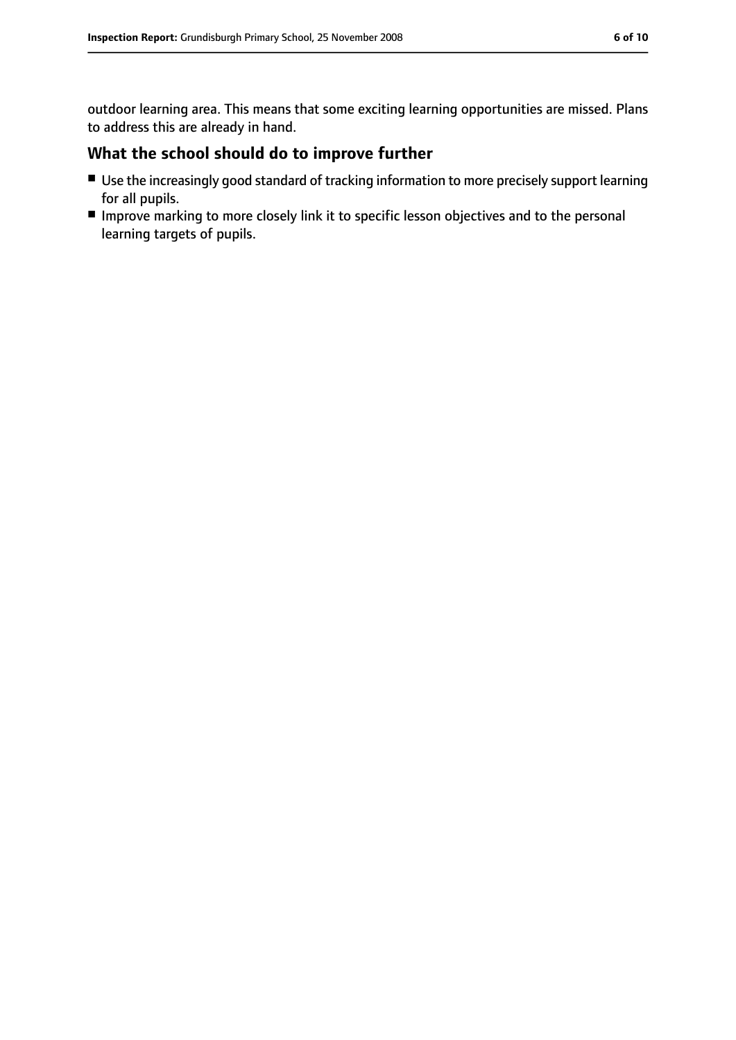outdoor learning area. This means that some exciting learning opportunities are missed. Plans to address this are already in hand.

## **What the school should do to improve further**

- Use the increasingly good standard of tracking information to more precisely support learning for all pupils.
- Improve marking to more closely link it to specific lesson objectives and to the personal learning targets of pupils.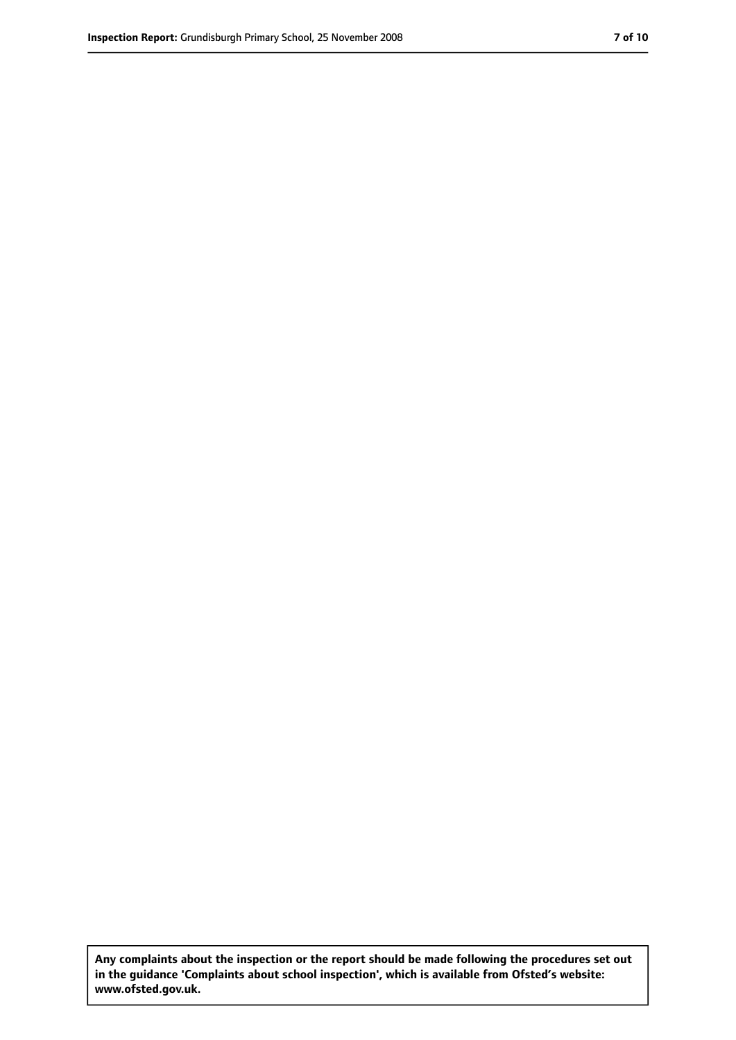**Any complaints about the inspection or the report should be made following the procedures set out in the guidance 'Complaints about school inspection', which is available from Ofsted's website: www.ofsted.gov.uk.**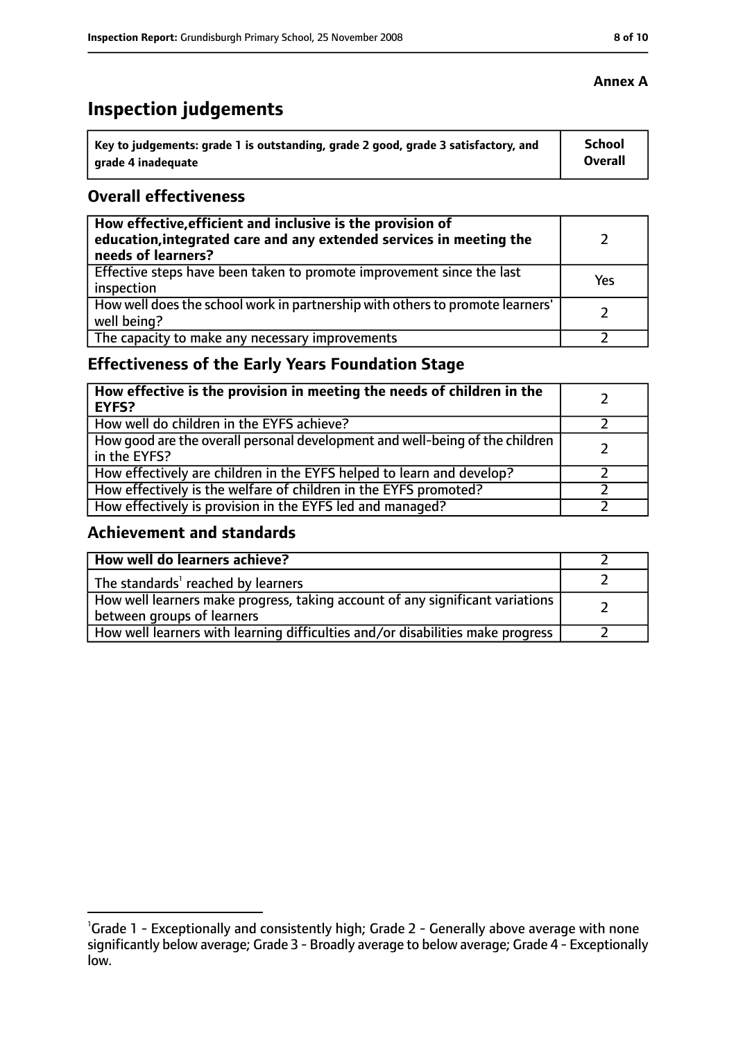# **Inspection judgements**

| Key to judgements: grade 1 is outstanding, grade 2 good, grade 3 satisfactory, and | <b>School</b>  |
|------------------------------------------------------------------------------------|----------------|
| arade 4 inadequate                                                                 | <b>Overall</b> |

### **Overall effectiveness**

| How effective, efficient and inclusive is the provision of<br>education, integrated care and any extended services in meeting the<br>needs of learners? |     |
|---------------------------------------------------------------------------------------------------------------------------------------------------------|-----|
| Effective steps have been taken to promote improvement since the last<br>inspection                                                                     | Yes |
| How well does the school work in partnership with others to promote learners'<br>well being?                                                            |     |
| The capacity to make any necessary improvements                                                                                                         |     |

# **Effectiveness of the Early Years Foundation Stage**

| How effective is the provision in meeting the needs of children in the<br><b>EYFS?</b>       |  |
|----------------------------------------------------------------------------------------------|--|
| How well do children in the EYFS achieve?                                                    |  |
| How good are the overall personal development and well-being of the children<br>in the EYFS? |  |
| How effectively are children in the EYFS helped to learn and develop?                        |  |
| How effectively is the welfare of children in the EYFS promoted?                             |  |
| How effectively is provision in the EYFS led and managed?                                    |  |

## **Achievement and standards**

| How well do learners achieve?                                                                               |  |
|-------------------------------------------------------------------------------------------------------------|--|
| The standards <sup>1</sup> reached by learners                                                              |  |
| How well learners make progress, taking account of any significant variations<br>between groups of learners |  |
| How well learners with learning difficulties and/or disabilities make progress                              |  |

<sup>&</sup>lt;sup>1</sup>Grade 1 - Exceptionally and consistently high; Grade 2 - Generally above average with none significantly below average; Grade 3 - Broadly average to below average; Grade 4 - Exceptionally low.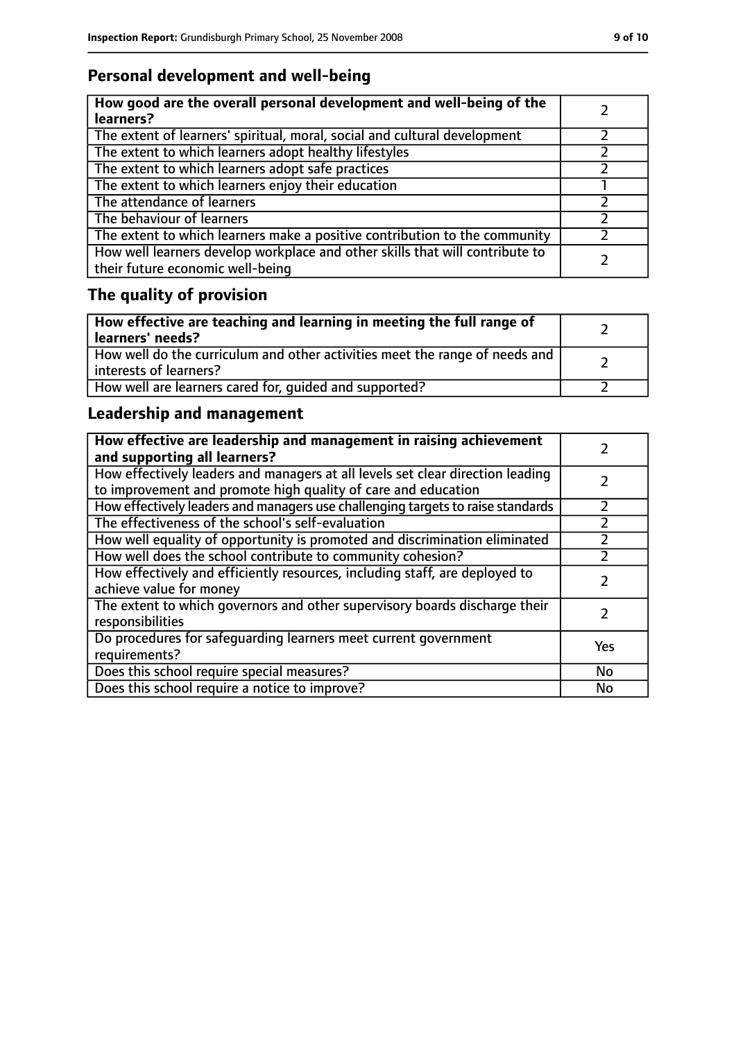# **Personal development and well-being**

| How good are the overall personal development and well-being of the<br>learners?                                 |  |
|------------------------------------------------------------------------------------------------------------------|--|
| The extent of learners' spiritual, moral, social and cultural development                                        |  |
| The extent to which learners adopt healthy lifestyles                                                            |  |
| The extent to which learners adopt safe practices                                                                |  |
| The extent to which learners enjoy their education                                                               |  |
| The attendance of learners                                                                                       |  |
| The behaviour of learners                                                                                        |  |
| The extent to which learners make a positive contribution to the community                                       |  |
| How well learners develop workplace and other skills that will contribute to<br>their future economic well-being |  |

# **The quality of provision**

| How effective are teaching and learning in meeting the full range of<br>learners' needs?              |  |
|-------------------------------------------------------------------------------------------------------|--|
| How well do the curriculum and other activities meet the range of needs and<br>interests of learners? |  |
| How well are learners cared for, quided and supported?                                                |  |

# **Leadership and management**

| How effective are leadership and management in raising achievement<br>and supporting all learners?                                              |     |
|-------------------------------------------------------------------------------------------------------------------------------------------------|-----|
| How effectively leaders and managers at all levels set clear direction leading<br>to improvement and promote high quality of care and education |     |
| How effectively leaders and managers use challenging targets to raise standards                                                                 |     |
| The effectiveness of the school's self-evaluation                                                                                               |     |
| How well equality of opportunity is promoted and discrimination eliminated                                                                      |     |
| How well does the school contribute to community cohesion?                                                                                      |     |
| How effectively and efficiently resources, including staff, are deployed to<br>achieve value for money                                          |     |
| The extent to which governors and other supervisory boards discharge their<br>responsibilities                                                  |     |
| Do procedures for safeguarding learners meet current government<br>requirements?                                                                | Yes |
| Does this school require special measures?                                                                                                      | No  |
| Does this school require a notice to improve?                                                                                                   | No  |